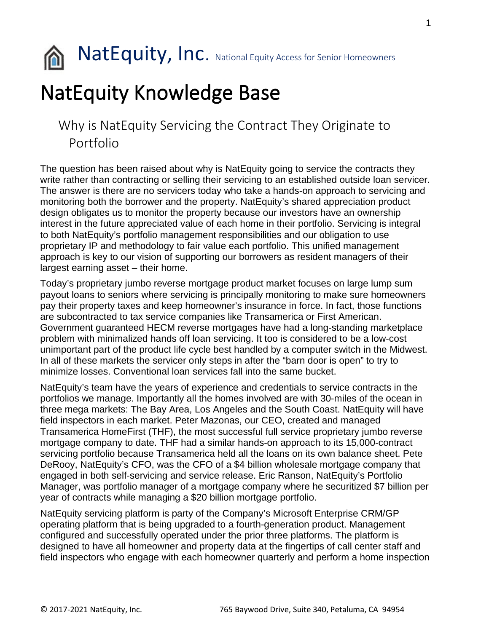

NatEquity, Inc. National Equity Access for Senior Homeowners

## NatEquity Knowledge Base

## Why is NatEquity Servicing the Contract They Originate to Portfolio

The question has been raised about why is NatEquity going to service the contracts they write rather than contracting or selling their servicing to an established outside loan servicer. The answer is there are no servicers today who take a hands-on approach to servicing and monitoring both the borrower and the property. NatEquity's shared appreciation product design obligates us to monitor the property because our investors have an ownership interest in the future appreciated value of each home in their portfolio. Servicing is integral to both NatEquity's portfolio management responsibilities and our obligation to use proprietary IP and methodology to fair value each portfolio. This unified management approach is key to our vision of supporting our borrowers as resident managers of their largest earning asset – their home.

Today's proprietary jumbo reverse mortgage product market focuses on large lump sum payout loans to seniors where servicing is principally monitoring to make sure homeowners pay their property taxes and keep homeowner's insurance in force. In fact, those functions are subcontracted to tax service companies like Transamerica or First American. Government guaranteed HECM reverse mortgages have had a long-standing marketplace problem with minimalized hands off loan servicing. It too is considered to be a low-cost unimportant part of the product life cycle best handled by a computer switch in the Midwest. In all of these markets the servicer only steps in after the "barn door is open" to try to minimize losses. Conventional loan services fall into the same bucket.

NatEquity's team have the years of experience and credentials to service contracts in the portfolios we manage. Importantly all the homes involved are with 30-miles of the ocean in three mega markets: The Bay Area, Los Angeles and the South Coast. NatEquity will have field inspectors in each market. Peter Mazonas, our CEO, created and managed Transamerica HomeFirst (THF), the most successful full service proprietary jumbo reverse mortgage company to date. THF had a similar hands-on approach to its 15,000-contract servicing portfolio because Transamerica held all the loans on its own balance sheet. Pete DeRooy, NatEquity's CFO, was the CFO of a \$4 billion wholesale mortgage company that engaged in both self-servicing and service release. Eric Ranson, NatEquity's Portfolio Manager, was portfolio manager of a mortgage company where he securitized \$7 billion per year of contracts while managing a \$20 billion mortgage portfolio.

NatEquity servicing platform is party of the Company's Microsoft Enterprise CRM/GP operating platform that is being upgraded to a fourth-generation product. Management configured and successfully operated under the prior three platforms. The platform is designed to have all homeowner and property data at the fingertips of call center staff and field inspectors who engage with each homeowner quarterly and perform a home inspection